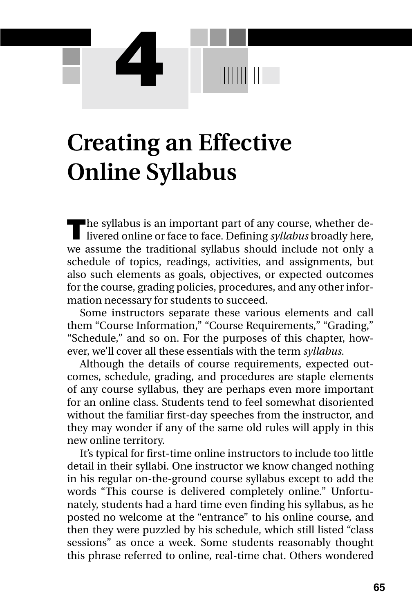# **Creating an Effective Online Syllabus**

**4**

**T**he syllabus is an important part of any course, whether de-livered online or face to face. Defining *syllabus* broadly here, we assume the traditional syllabus should include not only a schedule of topics, readings, activities, and assignments, but also such elements as goals, objectives, or expected outcomes for the course, grading policies, procedures, and any other information necessary for students to succeed.

Some instructors separate these various elements and call them "Course Information," "Course Requirements," "Grading," "Schedule," and so on. For the purposes of this chapter, however, we'll cover all these essentials with the term *syllabus.*

Although the details of course requirements, expected outcomes, schedule, grading, and procedures are staple elements of any course syllabus, they are perhaps even more important for an online class. Students tend to feel somewhat disoriented without the familiar first-day speeches from the instructor, and they may wonder if any of the same old rules will apply in this new online territory.

It's typical for first-time online instructors to include too little detail in their syllabi. One instructor we know changed nothing in his regular on-the-ground course syllabus except to add the words "This course is delivered completely online." Unfortunately, students had a hard time even finding his syllabus, as he posted no welcome at the "entrance" to his online course, and then they were puzzled by his schedule, which still listed "class sessions" as once a week. Some students reasonably thought this phrase referred to online, real-time chat. Others wondered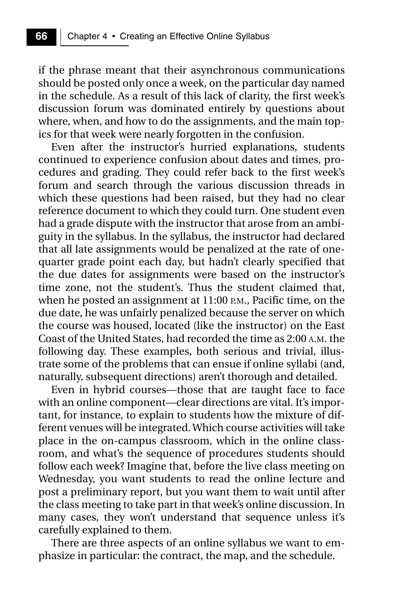if the phrase meant that their asynchronous communications should be posted only once a week, on the particular day named in the schedule. As a result of this lack of clarity, the first week's discussion forum was dominated entirely by questions about where, when, and how to do the assignments, and the main topics for that week were nearly forgotten in the confusion.

Even after the instructor's hurried explanations, students continued to experience confusion about dates and times, procedures and grading. They could refer back to the first week's forum and search through the various discussion threads in which these questions had been raised, but they had no clear reference document to which they could turn. One student even had a grade dispute with the instructor that arose from an ambiguity in the syllabus. In the syllabus, the instructor had declared that all late assignments would be penalized at the rate of onequarter grade point each day, but hadn't clearly specified that the due dates for assignments were based on the instructor's time zone, not the student's. Thus the student claimed that, when he posted an assignment at 11:00 P.M., Pacific time, on the due date, he was unfairly penalized because the server on which the course was housed, located (like the instructor) on the East Coast of the United States, had recorded the time as 2:00 A.M. the following day. These examples, both serious and trivial, illustrate some of the problems that can ensue if online syllabi (and, naturally, subsequent directions) aren't thorough and detailed.

Even in hybrid courses—those that are taught face to face with an online component—clear directions are vital. It's important, for instance, to explain to students how the mixture of different venues will be integrated. Which course activities will take place in the on-campus classroom, which in the online classroom, and what's the sequence of procedures students should follow each week? Imagine that, before the live class meeting on Wednesday, you want students to read the online lecture and post a preliminary report, but you want them to wait until after the class meeting to take part in that week's online discussion. In many cases, they won't understand that sequence unless it's carefully explained to them.

There are three aspects of an online syllabus we want to emphasize in particular: the contract, the map, and the schedule.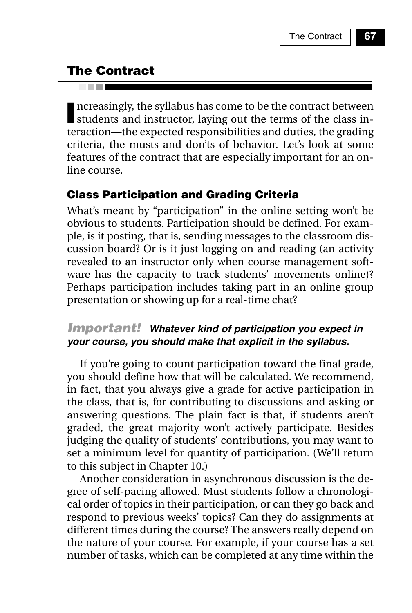Increasingly, the syllabus has come to be the contract between students and instructor, laying out the terms of the class inncreasingly, the syllabus has come to be the contract between teraction—the expected responsibilities and duties, the grading criteria, the musts and don'ts of behavior. Let's look at some features of the contract that are especially important for an online course.

# **Class Participation and Grading Criteria**

What's meant by "participation" in the online setting won't be obvious to students. Participation should be defined. For example, is it posting, that is, sending messages to the classroom discussion board? Or is it just logging on and reading (an activity revealed to an instructor only when course management software has the capacity to track students' movements online)? Perhaps participation includes taking part in an online group presentation or showing up for a real-time chat?

# *Important! Whatever kind of participation you expect in your course, you should make that explicit in the syllabus.*

If you're going to count participation toward the final grade, you should define how that will be calculated. We recommend, in fact, that you always give a grade for active participation in the class, that is, for contributing to discussions and asking or answering questions. The plain fact is that, if students aren't graded, the great majority won't actively participate. Besides judging the quality of students' contributions, you may want to set a minimum level for quantity of participation. (We'll return to this subject in Chapter 10.)

Another consideration in asynchronous discussion is the degree of self-pacing allowed. Must students follow a chronological order of topics in their participation, or can they go back and respond to previous weeks' topics? Can they do assignments at different times during the course? The answers really depend on the nature of your course. For example, if your course has a set number of tasks, which can be completed at any time within the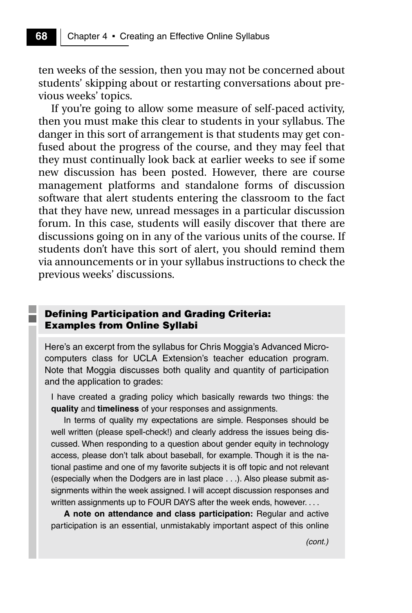ten weeks of the session, then you may not be concerned about students' skipping about or restarting conversations about previous weeks' topics.

If you're going to allow some measure of self-paced activity, then you must make this clear to students in your syllabus. The danger in this sort of arrangement is that students may get confused about the progress of the course, and they may feel that they must continually look back at earlier weeks to see if some new discussion has been posted. However, there are course management platforms and standalone forms of discussion software that alert students entering the classroom to the fact that they have new, unread messages in a particular discussion forum. In this case, students will easily discover that there are discussions going on in any of the various units of the course. If students don't have this sort of alert, you should remind them via announcements or in your syllabus instructions to check the previous weeks' discussions.

#### **Defining Participation and Grading Criteria: Examples from Online Syllabi**

Here's an excerpt from the syllabus for Chris Moggia's Advanced Microcomputers class for UCLA Extension's teacher education program. Note that Moggia discusses both quality and quantity of participation and the application to grades:

I have created a grading policy which basically rewards two things: the **quality** and **timeliness** of your responses and assignments.

In terms of quality my expectations are simple. Responses should be well written (please spell-check!) and clearly address the issues being discussed. When responding to a question about gender equity in technology access, please don't talk about baseball, for example. Though it is the national pastime and one of my favorite subjects it is off topic and not relevant (especially when the Dodgers are in last place . . .). Also please submit assignments within the week assigned. I will accept discussion responses and written assignments up to FOUR DAYS after the week ends, however...

**A note on attendance and class participation:** Regular and active participation is an essential, unmistakably important aspect of this online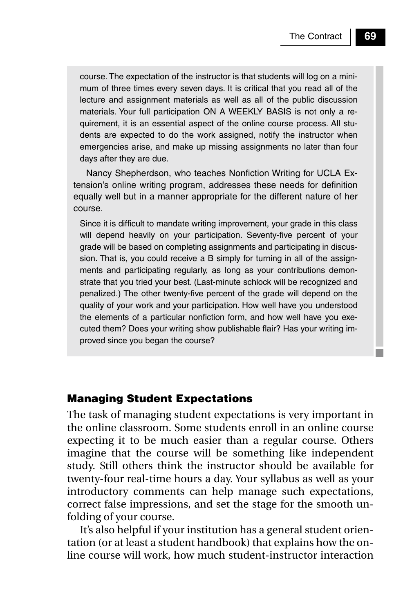course. The expectation of the instructor is that students will log on a minimum of three times every seven days. It is critical that you read all of the lecture and assignment materials as well as all of the public discussion materials. Your full participation ON A WEEKLY BASIS is not only a requirement, it is an essential aspect of the online course process. All students are expected to do the work assigned, notify the instructor when emergencies arise, and make up missing assignments no later than four days after they are due.

Nancy Shepherdson, who teaches Nonfiction Writing for UCLA Extension's online writing program, addresses these needs for definition equally well but in a manner appropriate for the different nature of her course.

Since it is difficult to mandate writing improvement, your grade in this class will depend heavily on your participation. Seventy-five percent of your grade will be based on completing assignments and participating in discussion. That is, you could receive a B simply for turning in all of the assignments and participating regularly, as long as your contributions demonstrate that you tried your best. (Last-minute schlock will be recognized and penalized.) The other twenty-five percent of the grade will depend on the quality of your work and your participation. How well have you understood the elements of a particular nonfiction form, and how well have you executed them? Does your writing show publishable flair? Has your writing improved since you began the course?

## **Managing Student Expectations**

The task of managing student expectations is very important in the online classroom. Some students enroll in an online course expecting it to be much easier than a regular course. Others imagine that the course will be something like independent study. Still others think the instructor should be available for twenty-four real-time hours a day. Your syllabus as well as your introductory comments can help manage such expectations, correct false impressions, and set the stage for the smooth unfolding of your course.

It's also helpful if your institution has a general student orientation (or at least a student handbook) that explains how the online course will work, how much student-instructor interaction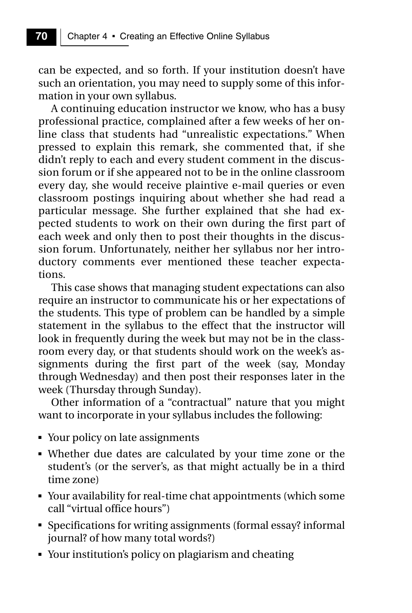can be expected, and so forth. If your institution doesn't have such an orientation, you may need to supply some of this information in your own syllabus.

A continuing education instructor we know, who has a busy professional practice, complained after a few weeks of her online class that students had "unrealistic expectations." When pressed to explain this remark, she commented that, if she didn't reply to each and every student comment in the discussion forum or if she appeared not to be in the online classroom every day, she would receive plaintive e-mail queries or even classroom postings inquiring about whether she had read a particular message. She further explained that she had expected students to work on their own during the first part of each week and only then to post their thoughts in the discussion forum. Unfortunately, neither her syllabus nor her introductory comments ever mentioned these teacher expectations.

This case shows that managing student expectations can also require an instructor to communicate his or her expectations of the students. This type of problem can be handled by a simple statement in the syllabus to the effect that the instructor will look in frequently during the week but may not be in the classroom every day, or that students should work on the week's assignments during the first part of the week (say, Monday through Wednesday) and then post their responses later in the week (Thursday through Sunday).

Other information of a "contractual" nature that you might want to incorporate in your syllabus includes the following:

- Your policy on late assignments
- Whether due dates are calculated by your time zone or the student's (or the server's, as that might actually be in a third time zone)
- Your availability for real-time chat appointments (which some call "virtual office hours")
- Specifications for writing assignments (formal essay? informal journal? of how many total words?)
- Your institution's policy on plagiarism and cheating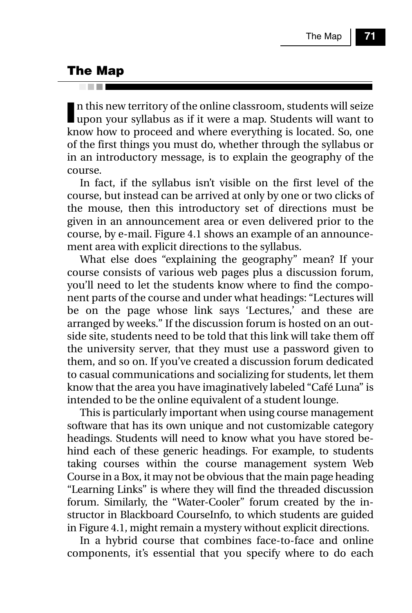#### **The Map**

In this new territory of the online classroom, students will seize upon your syllabus as if it were a map. Students will want to n this new territory of the online classroom, students will seize know how to proceed and where everything is located. So, one of the first things you must do, whether through the syllabus or in an introductory message, is to explain the geography of the course.

In fact, if the syllabus isn't visible on the first level of the course, but instead can be arrived at only by one or two clicks of the mouse, then this introductory set of directions must be given in an announcement area or even delivered prior to the course, by e-mail. Figure 4.1 shows an example of an announcement area with explicit directions to the syllabus.

What else does "explaining the geography" mean? If your course consists of various web pages plus a discussion forum, you'll need to let the students know where to find the component parts of the course and under what headings: "Lectures will be on the page whose link says 'Lectures,' and these are arranged by weeks." If the discussion forum is hosted on an outside site, students need to be told that this link will take them off the university server, that they must use a password given to them, and so on. If you've created a discussion forum dedicated to casual communications and socializing for students, let them know that the area you have imaginatively labeled "Café Luna" is intended to be the online equivalent of a student lounge.

This is particularly important when using course management software that has its own unique and not customizable category headings. Students will need to know what you have stored behind each of these generic headings. For example, to students taking courses within the course management system Web Course in a Box, it may not be obvious that the main page heading "Learning Links" is where they will find the threaded discussion forum. Similarly, the "Water-Cooler" forum created by the instructor in Blackboard CourseInfo, to which students are guided in Figure 4.1, might remain a mystery without explicit directions.

In a hybrid course that combines face-to-face and online components, it's essential that you specify where to do each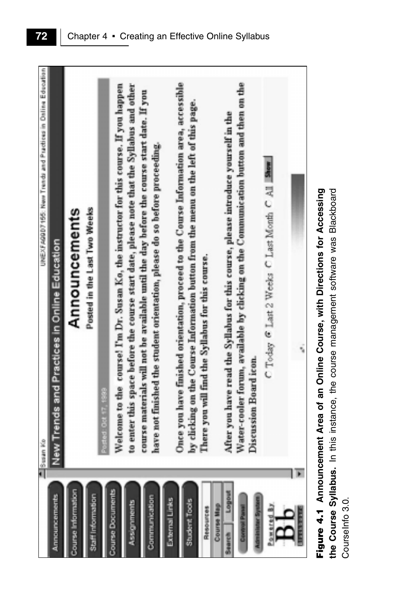Announcements

Susan Ko

New Trends and Practices in Online Education

course information

Staff Information

sted: Oct 17, 1989

**Course Documents** 

Welcome to the course! I'm Dr. Susan Ko, the instructor for this course. If you happen to enter this space before the course start date, please note that the Syllabus and other course materials will not be available until the day before the course start date. If you

Posted in the Last Two Weeks Announcements

Assignments

Communication

External Links

Student Tools

Resources

**Course Map** 

Acminister Syst Powered B

Logout Search

Water-cooler forum, available by clicking on the Communication button and then on the After you have read the Syllabus for this course, please introduce yourself in the Discussion Board icon.

C Today G Last 2 Weeks C Last Month C All Shew

Figure 4.1 Announcement Area of an Online Course, with Directions for Accessing the Course Syllabus. In this instance, the course management software was Blackboard **Figure 4.1 Announcement Area of an Online Course, with Directions for Accessing the Course Syllabus.** In this instance, the course management software was Blackboard CourseInfo 3.0. CourseInfo 3.0.

ś

122552

Once you have finished orientation, proceed to the Course Information area, accessible

have not finished the student orientation, please do so before proceeding.

by clicking on the Course Information button from the menu on the left of this page.

There you will find the Syllabus for this course.

UNEXFAGGD7155: New Trends and Practices in Online Education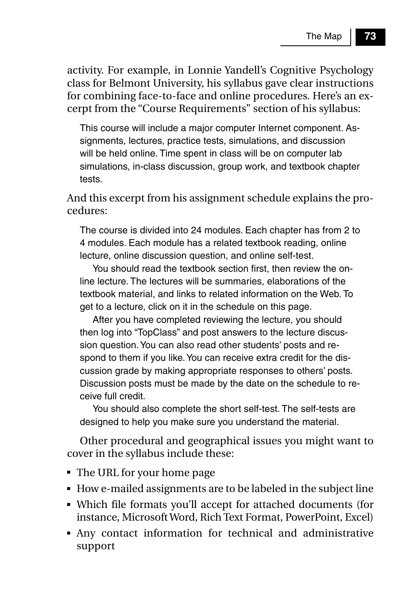activity. For example, in Lonnie Yandell's Cognitive Psychology class for Belmont University, his syllabus gave clear instructions for combining face-to-face and online procedures. Here's an excerpt from the "Course Requirements" section of his syllabus:

This course will include a major computer Internet component. Assignments, lectures, practice tests, simulations, and discussion will be held online. Time spent in class will be on computer lab simulations, in-class discussion, group work, and textbook chapter tests.

And this excerpt from his assignment schedule explains the procedures:

The course is divided into 24 modules. Each chapter has from 2 to 4 modules. Each module has a related textbook reading, online lecture, online discussion question, and online self-test.

You should read the textbook section first, then review the online lecture. The lectures will be summaries, elaborations of the textbook material, and links to related information on the Web. To get to a lecture, click on it in the schedule on this page.

After you have completed reviewing the lecture, you should then log into "TopClass" and post answers to the lecture discussion question.You can also read other students' posts and respond to them if you like.You can receive extra credit for the discussion grade by making appropriate responses to others' posts. Discussion posts must be made by the date on the schedule to receive full credit.

You should also complete the short self-test. The self-tests are designed to help you make sure you understand the material.

Other procedural and geographical issues you might want to cover in the syllabus include these:

- The URL for your home page
- How e-mailed assignments are to be labeled in the subject line
- Which file formats you'll accept for attached documents (for instance, Microsoft Word, Rich Text Format, PowerPoint, Excel)
- Any contact information for technical and administrative support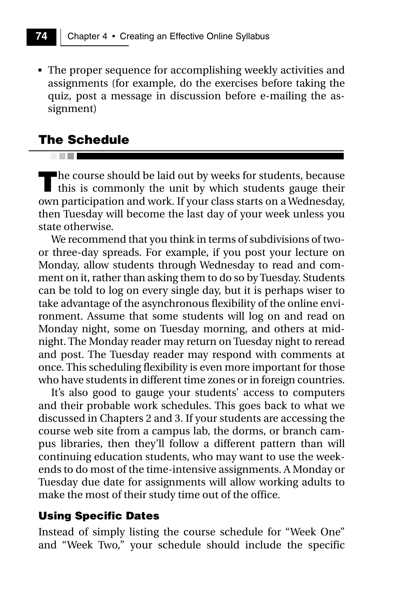■ The proper sequence for accomplishing weekly activities and assignments (for example, do the exercises before taking the quiz, post a message in discussion before e-mailing the assignment)

# **The Schedule**

a sa Tanzania

**T**he course should be laid out by weeks for students, because I this is commonly the unit by which students gauge their own participation and work. If your class starts on a Wednesday, then Tuesday will become the last day of your week unless you state otherwise.

We recommend that you think in terms of subdivisions of twoor three-day spreads. For example, if you post your lecture on Monday, allow students through Wednesday to read and comment on it, rather than asking them to do so by Tuesday. Students can be told to log on every single day, but it is perhaps wiser to take advantage of the asynchronous flexibility of the online environment. Assume that some students will log on and read on Monday night, some on Tuesday morning, and others at midnight. The Monday reader may return on Tuesday night to reread and post. The Tuesday reader may respond with comments at once. This scheduling flexibility is even more important for those who have students in different time zones or in foreign countries.

It's also good to gauge your students' access to computers and their probable work schedules. This goes back to what we discussed in Chapters 2 and 3. If your students are accessing the course web site from a campus lab, the dorms, or branch campus libraries, then they'll follow a different pattern than will continuing education students, who may want to use the weekends to do most of the time-intensive assignments. A Monday or Tuesday due date for assignments will allow working adults to make the most of their study time out of the office.

#### **Using Specific Dates**

Instead of simply listing the course schedule for "Week One" and "Week Two," your schedule should include the specific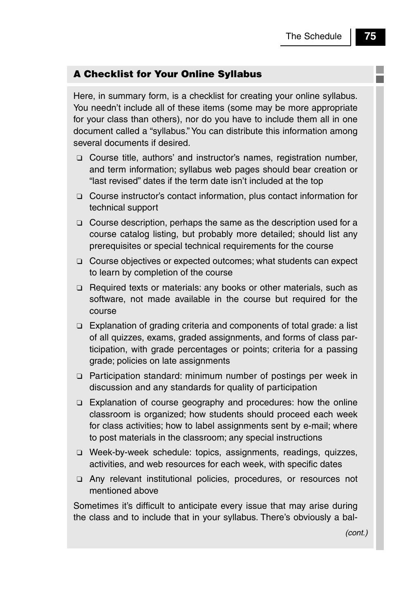#### **A Checklist for Your Online Syllabus**

Here, in summary form, is a checklist for creating your online syllabus. You needn't include all of these items (some may be more appropriate for your class than others), nor do you have to include them all in one document called a "syllabus." You can distribute this information among several documents if desired.

- ❑ Course title, authors' and instructor's names, registration number, and term information; syllabus web pages should bear creation or "last revised" dates if the term date isn't included at the top
- ❑ Course instructor's contact information, plus contact information for technical support
- ❑ Course description, perhaps the same as the description used for a course catalog listing, but probably more detailed; should list any prerequisites or special technical requirements for the course
- ❑ Course objectives or expected outcomes; what students can expect to learn by completion of the course
- ❑ Required texts or materials: any books or other materials, such as software, not made available in the course but required for the course
- ❑ Explanation of grading criteria and components of total grade: a list of all quizzes, exams, graded assignments, and forms of class participation, with grade percentages or points; criteria for a passing grade; policies on late assignments
- ❑ Participation standard: minimum number of postings per week in discussion and any standards for quality of participation
- ❑ Explanation of course geography and procedures: how the online classroom is organized; how students should proceed each week for class activities; how to label assignments sent by e-mail; where to post materials in the classroom; any special instructions
- ❑ Week-by-week schedule: topics, assignments, readings, quizzes, activities, and web resources for each week, with specific dates
- ❑ Any relevant institutional policies, procedures, or resources not mentioned above

Sometimes it's difficult to anticipate every issue that may arise during the class and to include that in your syllabus. There's obviously a bal-

*(cont.)*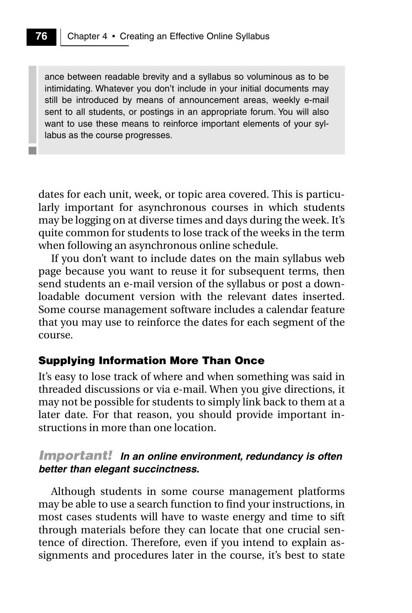ance between readable brevity and a syllabus so voluminous as to be intimidating. Whatever you don't include in your initial documents may still be introduced by means of announcement areas, weekly e-mail sent to all students, or postings in an appropriate forum. You will also want to use these means to reinforce important elements of your syllabus as the course progresses.

dates for each unit, week, or topic area covered. This is particularly important for asynchronous courses in which students may be logging on at diverse times and days during the week. It's quite common for students to lose track of the weeks in the term when following an asynchronous online schedule.

If you don't want to include dates on the main syllabus web page because you want to reuse it for subsequent terms, then send students an e-mail version of the syllabus or post a downloadable document version with the relevant dates inserted. Some course management software includes a calendar feature that you may use to reinforce the dates for each segment of the course.

#### **Supplying Information More Than Once**

It's easy to lose track of where and when something was said in threaded discussions or via e-mail. When you give directions, it may not be possible for students to simply link back to them at a later date. For that reason, you should provide important instructions in more than one location.

## *Important! In an online environment, redundancy is often better than elegant succinctness.*

Although students in some course management platforms may be able to use a search function to find your instructions, in most cases students will have to waste energy and time to sift through materials before they can locate that one crucial sentence of direction. Therefore, even if you intend to explain assignments and procedures later in the course, it's best to state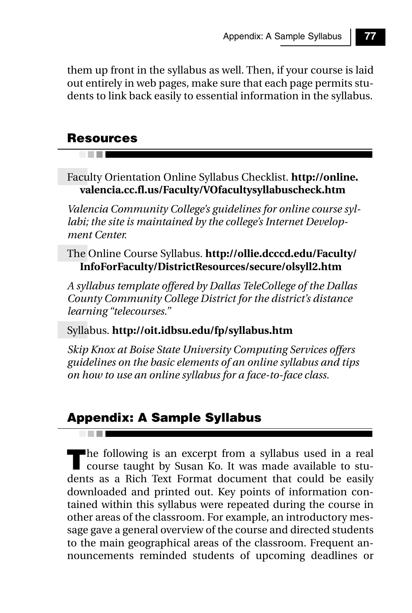them up front in the syllabus as well. Then, if your course is laid out entirely in web pages, make sure that each page permits students to link back easily to essential information in the syllabus.

## **Resources**

. . .

Faculty Orientation Online Syllabus Checklist. **http://online. valencia.cc.fl.us/Faculty/VOfacultysyllabuscheck.htm**

*Valencia Community College's guidelines for online course syllabi; the site is maintained by the college's Internet Development Center.*

The Online Course Syllabus. **http://ollie.dcccd.edu/Faculty/ InfoForFaculty/DistrictResources/secure/olsyll2.htm** 

*A syllabus template offered by Dallas TeleCollege of the Dallas County Community College District for the district's distance learning "telecourses."*

Syllabus. **http://oit.idbsu.edu/fp/syllabus.htm**

*Skip Knox at Boise State University Computing Services offers guidelines on the basic elements of an online syllabus and tips on how to use an online syllabus for a face-to-face class.*

# **Appendix: A Sample Syllabus**

**T**he following is an excerpt from a syllabus used in a real course taught by Susan Ko. It was made available to students as a Rich Text Format document that could be easily downloaded and printed out. Key points of information contained within this syllabus were repeated during the course in other areas of the classroom. For example, an introductory message gave a general overview of the course and directed students to the main geographical areas of the classroom. Frequent announcements reminded students of upcoming deadlines or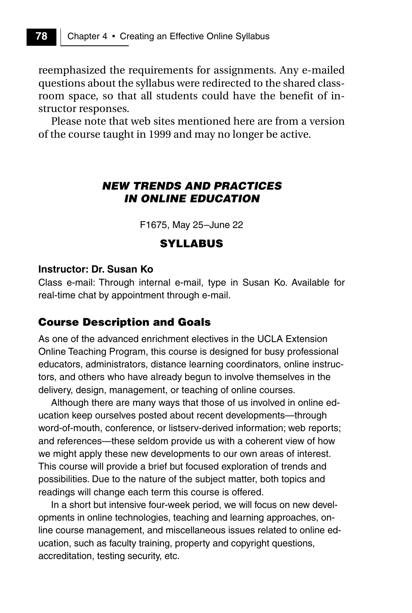reemphasized the requirements for assignments. Any e-mailed questions about the syllabus were redirected to the shared classroom space, so that all students could have the benefit of instructor responses.

Please note that web sites mentioned here are from a version of the course taught in 1999 and may no longer be active.

## *NEW TRENDS AND PRACTICES IN ONLINE EDUCATION*

F1675, May 25–June 22

#### **SYLLABUS**

#### **Instructor: Dr. Susan Ko**

Class e-mail: Through internal e-mail, type in Susan Ko. Available for real-time chat by appointment through e-mail.

#### **Course Description and Goals**

As one of the advanced enrichment electives in the UCLA Extension Online Teaching Program, this course is designed for busy professional educators, administrators, distance learning coordinators, online instructors, and others who have already begun to involve themselves in the delivery, design, management, or teaching of online courses.

Although there are many ways that those of us involved in online education keep ourselves posted about recent developments—through word-of-mouth, conference, or listserv-derived information; web reports; and references—these seldom provide us with a coherent view of how we might apply these new developments to our own areas of interest. This course will provide a brief but focused exploration of trends and possibilities. Due to the nature of the subject matter, both topics and readings will change each term this course is offered.

In a short but intensive four-week period, we will focus on new developments in online technologies, teaching and learning approaches, online course management, and miscellaneous issues related to online education, such as faculty training, property and copyright questions, accreditation, testing security, etc.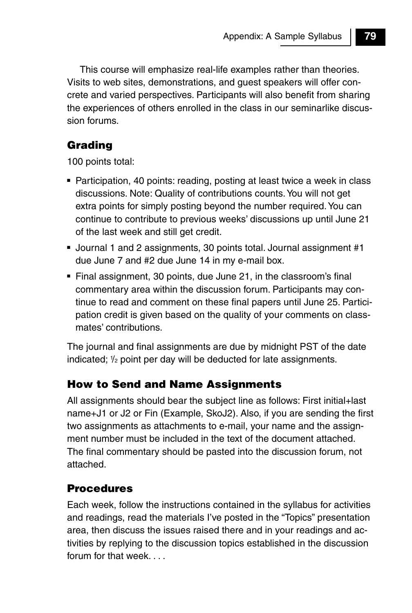This course will emphasize real-life examples rather than theories. Visits to web sites, demonstrations, and guest speakers will offer concrete and varied perspectives. Participants will also benefit from sharing the experiences of others enrolled in the class in our seminarlike discussion forums.

## **Grading**

100 points total:

- Participation, 40 points: reading, posting at least twice a week in class discussions. Note: Quality of contributions counts.You will not get extra points for simply posting beyond the number required. You can continue to contribute to previous weeks' discussions up until June 21 of the last week and still get credit.
- Journal 1 and 2 assignments, 30 points total. Journal assignment #1 due June 7 and #2 due June 14 in my e-mail box.
- Final assignment, 30 points, due June 21, in the classroom's final commentary area within the discussion forum. Participants may continue to read and comment on these final papers until June 25. Participation credit is given based on the quality of your comments on classmates' contributions.

The journal and final assignments are due by midnight PST of the date indicated;  $\frac{1}{2}$  point per day will be deducted for late assignments.

#### **How to Send and Name Assignments**

All assignments should bear the subject line as follows: First initial+last name+J1 or J2 or Fin (Example, SkoJ2). Also, if you are sending the first two assignments as attachments to e-mail, your name and the assignment number must be included in the text of the document attached. The final commentary should be pasted into the discussion forum, not attached.

#### **Procedures**

Each week, follow the instructions contained in the syllabus for activities and readings, read the materials I've posted in the "Topics" presentation area, then discuss the issues raised there and in your readings and activities by replying to the discussion topics established in the discussion forum for that week. . . .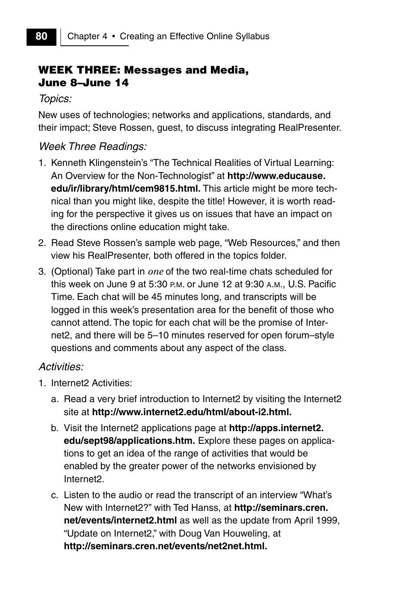## **WEEK THREE: Messages and Media, June 8–June 14**

#### *Topics:*

New uses of technologies; networks and applications, standards, and their impact; Steve Rossen, guest, to discuss integrating RealPresenter.

## *Week Three Readings:*

- 1. Kenneth Klingenstein's "The Technical Realities of Virtual Learning: An Overview for the Non-Technologist" at **http://www.educause. edu/ir/library/html/cem9815.html.** This article might be more technical than you might like, despite the title! However, it is worth reading for the perspective it gives us on issues that have an impact on the directions online education might take.
- 2. Read Steve Rossen's sample web page, "Web Resources," and then view his RealPresenter, both offered in the topics folder.
- 3. (Optional) Take part in *one* of the two real-time chats scheduled for this week on June 9 at 5:30 P.M. or June 12 at 9:30 A.M., U.S. Pacific Time. Each chat will be 45 minutes long, and transcripts will be logged in this week's presentation area for the benefit of those who cannot attend. The topic for each chat will be the promise of Internet2, and there will be 5–10 minutes reserved for open forum–style questions and comments about any aspect of the class.

#### *Activities:*

- 1. Internet2 Activities:
	- a. Read a very brief introduction to Internet2 by visiting the Internet2 site at **http://www.internet2.edu/html/about-i2.html.**
	- b. Visit the Internet2 applications page at **http://apps.internet2. edu/sept98/applications.htm.** Explore these pages on applications to get an idea of the range of activities that would be enabled by the greater power of the networks envisioned by Internet2.
	- c. Listen to the audio or read the transcript of an interview "What's New with Internet2?" with Ted Hanss, at **http://seminars.cren. net/events/internet2.html** as well as the update from April 1999, "Update on Internet2," with Doug Van Houweling, at **http://seminars.cren.net/events/net2net.html.**